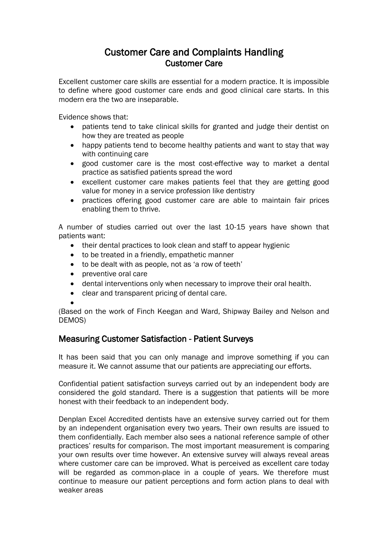# Customer Care and Complaints Handling Customer Care

Excellent customer care skills are essential for a modern practice. It is impossible to define where good customer care ends and good clinical care starts. In this modern era the two are inseparable.

Evidence shows that:

- patients tend to take clinical skills for granted and judge their dentist on how they are treated as people
- happy patients tend to become healthy patients and want to stay that way with continuing care
- good customer care is the most cost-effective way to market a dental practice as satisfied patients spread the word
- excellent customer care makes patients feel that they are getting good value for money in a service profession like dentistry
- practices offering good customer care are able to maintain fair prices enabling them to thrive.

A number of studies carried out over the last 10-15 years have shown that patients want:

- their dental practices to look clean and staff to appear hygienic
- to be treated in a friendly, empathetic manner
- to be dealt with as people, not as 'a row of teeth'
- preventive oral care
- dental interventions only when necessary to improve their oral health.
- clear and transparent pricing of dental care.

 $\bullet$ 

(Based on the work of Finch Keegan and Ward, Shipway Bailey and Nelson and DEMOS)

## Measuring Customer Satisfaction - Patient Surveys

It has been said that you can only manage and improve something if you can measure it. We cannot assume that our patients are appreciating our efforts.

Confidential patient satisfaction surveys carried out by an independent body are considered the gold standard. There is a suggestion that patients will be more honest with their feedback to an independent body.

Denplan Excel Accredited dentists have an extensive survey carried out for them by an independent organisation every two years. Their own results are issued to them confidentially. Each member also sees a national reference sample of other practices' results for comparison. The most important measurement is comparing your own results over time however. An extensive survey will always reveal areas where customer care can be improved. What is perceived as excellent care today will be regarded as common-place in a couple of years. We therefore must continue to measure our patient perceptions and form action plans to deal with weaker areas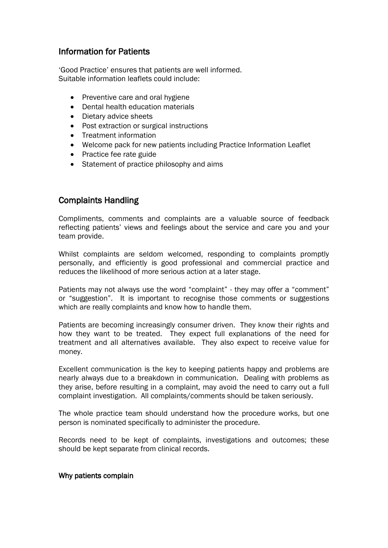## Information for Patients

'Good Practice' ensures that patients are well informed. Suitable information leaflets could include:

- Preventive care and oral hygiene
- Dental health education materials
- Dietary advice sheets
- Post extraction or surgical instructions
- Treatment information
- Welcome pack for new patients including Practice Information Leaflet
- Practice fee rate guide
- Statement of practice philosophy and aims

## Complaints Handling

Compliments, comments and complaints are a valuable source of feedback reflecting patients' views and feelings about the service and care you and your team provide.

Whilst complaints are seldom welcomed, responding to complaints promptly personally, and efficiently is good professional and commercial practice and reduces the likelihood of more serious action at a later stage.

Patients may not always use the word "complaint" - they may offer a "comment" or "suggestion". It is important to recognise those comments or suggestions which are really complaints and know how to handle them.

Patients are becoming increasingly consumer driven. They know their rights and how they want to be treated. They expect full explanations of the need for treatment and all alternatives available. They also expect to receive value for money.

Excellent communication is the key to keeping patients happy and problems are nearly always due to a breakdown in communication. Dealing with problems as they arise, before resulting in a complaint, may avoid the need to carry out a full complaint investigation. All complaints/comments should be taken seriously.

The whole practice team should understand how the procedure works, but one person is nominated specifically to administer the procedure.

Records need to be kept of complaints, investigations and outcomes; these should be kept separate from clinical records.

#### Why patients complain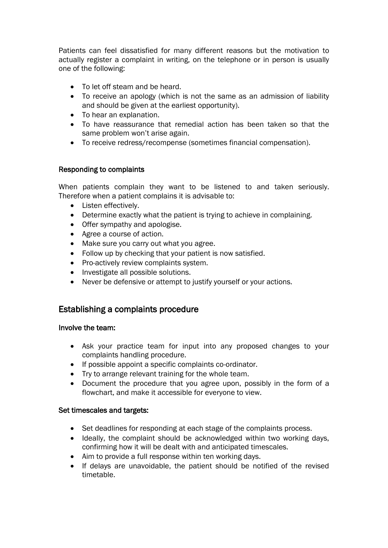Patients can feel dissatisfied for many different reasons but the motivation to actually register a complaint in writing, on the telephone or in person is usually one of the following:

- To let off steam and be heard.
- To receive an apology (which is not the same as an admission of liability and should be given at the earliest opportunity).
- To hear an explanation.
- To have reassurance that remedial action has been taken so that the same problem won't arise again.
- To receive redress/recompense (sometimes financial compensation).

### Responding to complaints

When patients complain they want to be listened to and taken seriously. Therefore when a patient complains it is advisable to:

- Listen effectively.
- Determine exactly what the patient is trying to achieve in complaining.
- Offer sympathy and apologise.
- Agree a course of action.
- Make sure you carry out what you agree.
- Follow up by checking that your patient is now satisfied.
- Pro-actively review complaints system.
- Investigate all possible solutions.
- Never be defensive or attempt to justify yourself or your actions.

## Establishing a complaints procedure

### Involve the team:

- Ask your practice team for input into any proposed changes to your complaints handling procedure.
- If possible appoint a specific complaints co-ordinator.
- Try to arrange relevant training for the whole team.
- Document the procedure that you agree upon, possibly in the form of a flowchart, and make it accessible for everyone to view.

### Set timescales and targets:

- Set deadlines for responding at each stage of the complaints process.
- Ideally, the complaint should be acknowledged within two working days, confirming how it will be dealt with and anticipated timescales.
- Aim to provide a full response within ten working days.
- If delays are unavoidable, the patient should be notified of the revised timetable.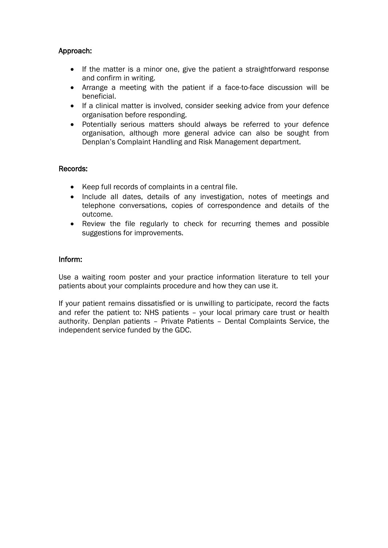### Approach:

- If the matter is a minor one, give the patient a straightforward response and confirm in writing.
- Arrange a meeting with the patient if a face-to-face discussion will be beneficial.
- If a clinical matter is involved, consider seeking advice from your defence organisation before responding.
- Potentially serious matters should always be referred to your defence organisation, although more general advice can also be sought from Denplan's Complaint Handling and Risk Management department.

### Records:

- Keep full records of complaints in a central file.
- Include all dates, details of any investigation, notes of meetings and telephone conversations, copies of correspondence and details of the outcome.
- Review the file regularly to check for recurring themes and possible suggestions for improvements.

#### Inform:

Use a waiting room poster and your practice information literature to tell your patients about your complaints procedure and how they can use it.

If your patient remains dissatisfied or is unwilling to participate, record the facts and refer the patient to: NHS patients – your local primary care trust or health authority. Denplan patients – Private Patients – Dental Complaints Service, the independent service funded by the GDC.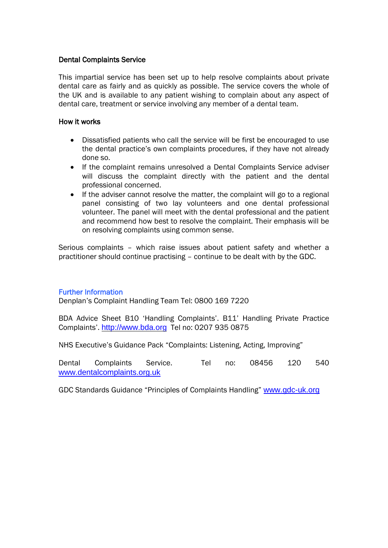### Dental Complaints Service

This impartial service has been set up to help resolve complaints about private dental care as fairly and as quickly as possible. The service covers the whole of the UK and is available to any patient wishing to complain about any aspect of dental care, treatment or service involving any member of a dental team.

#### How it works

- Dissatisfied patients who call the service will be first be encouraged to use the dental practice's own complaints procedures, if they have not already done so.
- If the complaint remains unresolved a Dental Complaints Service adviser will discuss the complaint directly with the patient and the dental professional concerned.
- If the adviser cannot resolve the matter, the complaint will go to a regional panel consisting of two lay volunteers and one dental professional volunteer. The panel will meet with the dental professional and the patient and recommend how best to resolve the complaint. Their emphasis will be on resolving complaints using common sense.

Serious complaints – which raise issues about patient safety and whether a practitioner should continue practising – continue to be dealt with by the GDC.

#### Further Information

Denplan's Complaint Handling Team Tel: 0800 169 7220

BDA Advice Sheet B10 'Handling Complaints'. B11' Handling Private Practice Complaints'. [http://www.bda.org](http://www.bda.org/) Tel no: 0207 935 0875

NHS Executive's Guidance Pack "Complaints: Listening, Acting, Improving"

Dental Complaints Service. Tel no: 08456 120 540 [www.dentalcomplaints.org.uk](http://www.dentalcomplaints.org.uk/)

GDC Standards Guidance "Principles of Complaints Handling" [www.gdc-uk.org](http://www.gdc-uk.org/)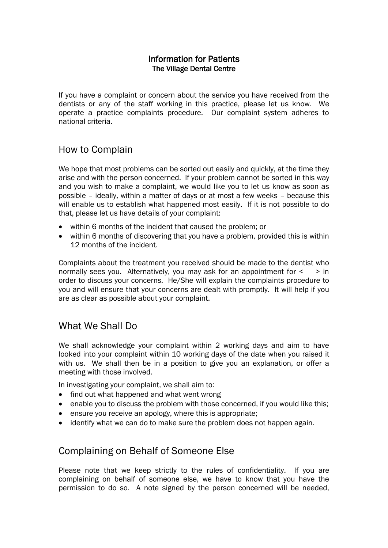## Information for Patients The Village Dental Centre

If you have a complaint or concern about the service you have received from the dentists or any of the staff working in this practice, please let us know. We operate a practice complaints procedure. Our complaint system adheres to national criteria.

# How to Complain

We hope that most problems can be sorted out easily and quickly, at the time they arise and with the person concerned. If your problem cannot be sorted in this way and you wish to make a complaint, we would like you to let us know as soon as possible – ideally, within a matter of days or at most a few weeks – because this will enable us to establish what happened most easily. If it is not possible to do that, please let us have details of your complaint:

- within 6 months of the incident that caused the problem; or
- within 6 months of discovering that you have a problem, provided this is within 12 months of the incident.

Complaints about the treatment you received should be made to the dentist who normally sees you. Alternatively, you may ask for an appointment for  $\le$   $\ge$  in order to discuss your concerns. He/She will explain the complaints procedure to you and will ensure that your concerns are dealt with promptly. It will help if you are as clear as possible about your complaint.

# What We Shall Do

We shall acknowledge your complaint within 2 working days and aim to have looked into your complaint within 10 working days of the date when you raised it with us. We shall then be in a position to give you an explanation, or offer a meeting with those involved.

In investigating your complaint, we shall aim to:

- find out what happened and what went wrong
- enable you to discuss the problem with those concerned, if you would like this;
- ensure you receive an apology, where this is appropriate;
- identify what we can do to make sure the problem does not happen again.

## Complaining on Behalf of Someone Else

Please note that we keep strictly to the rules of confidentiality. If you are complaining on behalf of someone else, we have to know that you have the permission to do so. A note signed by the person concerned will be needed,